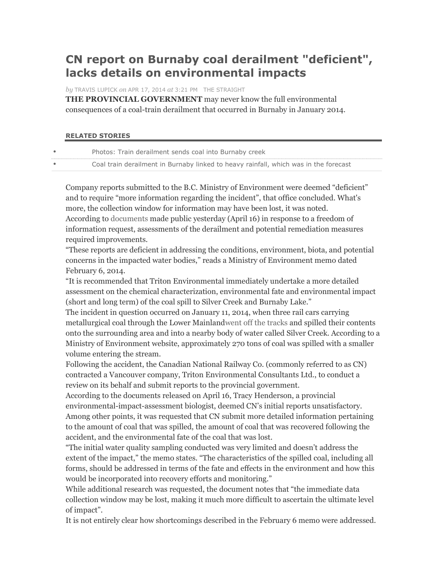## **CN report on Burnaby coal derailment "deficient", lacks details on environmental impacts**

*by* TRAVIS LUPICK *on* APR 17, 2014 *at* 3:21 PM THE STRAIGHT

**THE PROVINCIAL GOVERNMENT** may never know the full environmental consequences of a coal-train derailment that occurred in Burnaby in January 2014.

## **RELATED STORIES**

| Coal train derailment in Burnaby linked to heavy rainfall, which was in the forecast<br>$\bullet$ |  |
|---------------------------------------------------------------------------------------------------|--|

Company reports submitted to the B.C. Ministry of Environment were deemed "deficient" and to require "more information regarding the incident", that office concluded. What's more, the collection window for information may have been lost, it was noted. According to documents made public yesterday (April 16) in response to a freedom of information request, assessments of the derailment and potential remediation measures required improvements.

"These reports are deficient in addressing the conditions, environment, biota, and potential concerns in the impacted water bodies," reads a Ministry of Environment memo dated February 6, 2014.

"It is recommended that Triton Environmental immediately undertake a more detailed assessment on the chemical characterization, environmental fate and environmental impact (short and long term) of the coal spill to Silver Creek and Burnaby Lake."

The incident in question occurred on January 11, 2014, when three rail cars carrying metallurgical coal through the Lower Mainlandwent off the tracks and spilled their contents onto the surrounding area and into a nearby body of water called Silver Creek. According to a Ministry of Environment website, approximately 270 tons of coal was spilled with a smaller volume entering the stream.

Following the accident, the Canadian National Railway Co. (commonly referred to as CN) contracted a Vancouver company, Triton Environmental Consultants Ltd., to conduct a review on its behalf and submit reports to the provincial government.

According to the documents released on April 16, Tracy Henderson, a provincial environmental-impact-assessment biologist, deemed CN's initial reports unsatisfactory. Among other points, it was requested that CN submit more detailed information pertaining to the amount of coal that was spilled, the amount of coal that was recovered following the accident, and the environmental fate of the coal that was lost.

"The initial water quality sampling conducted was very limited and doesn't address the extent of the impact," the memo states. "The characteristics of the spilled coal, including all forms, should be addressed in terms of the fate and effects in the environment and how this would be incorporated into recovery efforts and monitoring."

While additional research was requested, the document notes that "the immediate data collection window may be lost, making it much more difficult to ascertain the ultimate level of impact".

It is not entirely clear how shortcomings described in the February 6 memo were addressed.